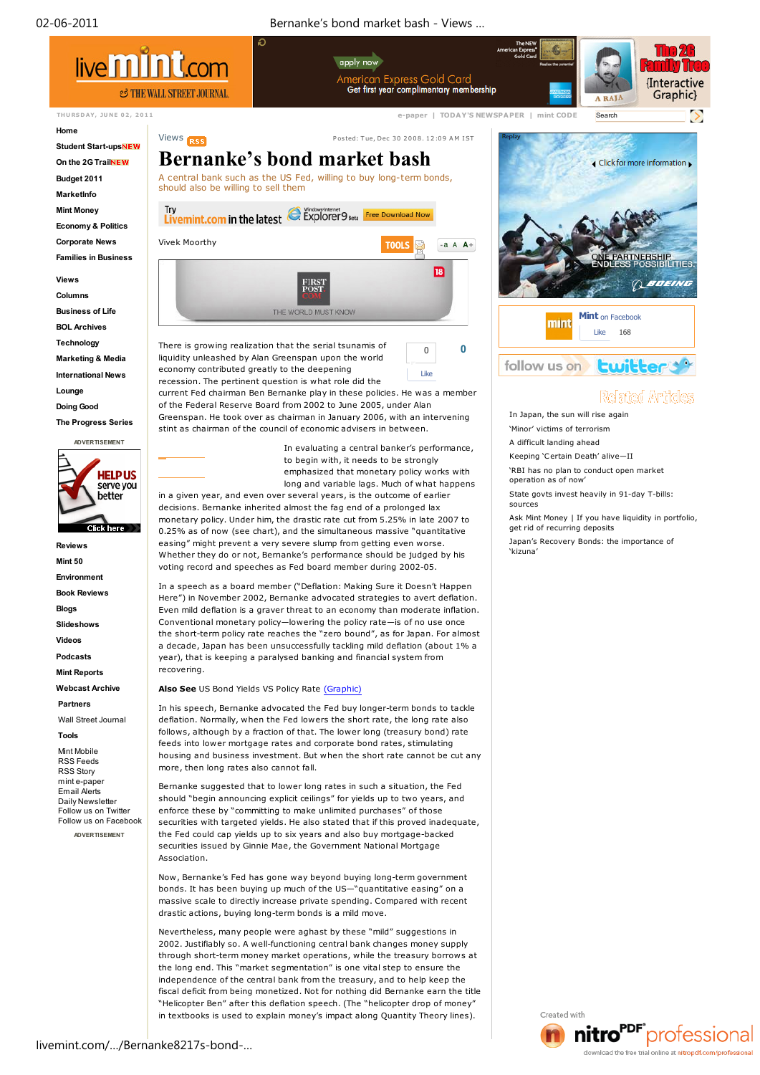

through short-term money market operations, while the treasury borrows at the long end. This "market segmentation" is one vital step to ensure the independence of the central bank from the treasury, and to help keep the fiscal deficit from being monetized. Not for nothing did Bernanke earn the title "Helicopter Ben" after this deflation speech. (The "helicopter drop of money" in textbooks is used to explain money's impact along Quantity Theory lines).

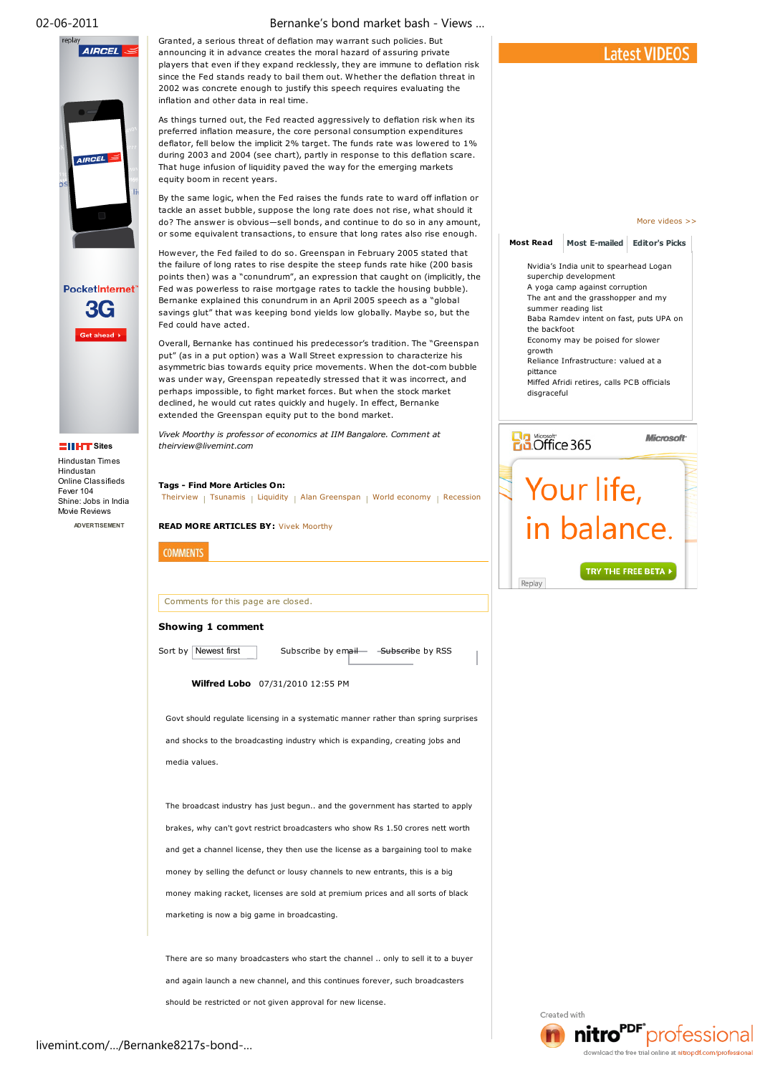



Online Classifieds Fever 104 Shine: Jobs in India

Movie Reviews **ADVERTISEMENT** Granted, a serious threat of deflation may warrant such policies. But announcing it in advance creates the moral hazard of assuring private players that even if they expand recklessly, they are immune to deflation risk since the Fed stands ready to bail them out. Whether the deflation threat in 2002 was concrete enough to justify this speech requires evaluating the inflation and other data in real time.

As things turned out, the Fed reacted aggressively to deflation risk when its preferred inflation measure, the core personal consumption expenditures deflator, fell below the implicit 2% target. The funds rate was lowered to 1% during 2003 and 2004 (see chart), partly in response to this deflation scare. That huge infusion of liquidity paved the way for the emerging markets equity boom in recent years.

By the same logic, when the Fed raises the funds rate to ward off inflation or tackle an asset bubble, suppose the long rate does not rise, what should it do? The answer is obvious—sell bonds, and continue to do so in any amount, or some equivalent transactions, to ensure that long rates also rise enough.

However, the Fed failed to do so. Greenspan in February 2005 stated that the failure of long rates to rise despite the steep funds rate hike (200 basis points then) was a "conundrum", an expression that caught on (implicitly, the Fed was powerless to raise mortgage rates to tackle the housing bubble). Bernanke explained this conundrum in an April 2005 speech as a "global savings glut" that was keeping bond yields low globally. Maybe so, but the Fed could have acted.

Overall, Bernanke has continued his predecessor's tradition. The "Greenspan put" (as in a put option) was a Wall Street expression to characterize his asymmetric bias towards equity price movements. When the dot-com bubble was under way, Greenspan repeatedly stressed that it was incorrect, and perhaps impossible, to fight market forces. But when the stock market declined, he would cut rates quickly and hugely. In effect, Bernanke extended the Greenspan equity put to the bond market.

*Vivek Moorthy is professor of economics at IIM Bangalore. Comment at theirview@livemint.com*

## **Tags - Find More Articles On:**

Theirview | Tsunamis | Liquidity | Alan Greenspan | World economy | Recession

**READ MORE ARTICLES BY:** Vivek Moorthy

| Comments for this page are closed |  |  |  |
|-----------------------------------|--|--|--|
|                                   |  |  |  |

## **Showing 1 comment**

**COMMENTS** 

Sort by Newest first Subscribe by email - Subscribe by RSS

**Wilfred Lobo** 07/31/2010 12:55 PM

Govt should regulate licensing in a systematic manner rather than spring surprises and shocks to the broadcasting industry which is expanding, creating jobs and media values.

The broadcast industry has just begun.. and the government has started to apply brakes, why can't govt restrict broadcasters who show Rs 1.50 crores nett worth and get a channel license, they then use the license as a bargaining tool to make money by selling the defunct or lousy channels to new entrants, this is a big money making racket, licenses are sold at premium prices and all sorts of black marketing is now a big game in broadcasting.

There are so many broadcasters who start the channel .. only to sell it to a buyer and again launch a new channel, and this continues forever, such broadcasters should be restricted or not given approval for new license.



More videos >>

**Most Read Most E-mailed Editor's Picks** Nvidia's India unit to spearhead Logan superchip development A yoga camp against corruption The ant and the grasshopper and my summer reading list Baba Ramdev intent on fast, puts UPA on the backfoot Economy may be poised for slower growth Reliance Infrastructure: valued at a pittance Miffed Afridi retires, calls PCB officials disgraceful